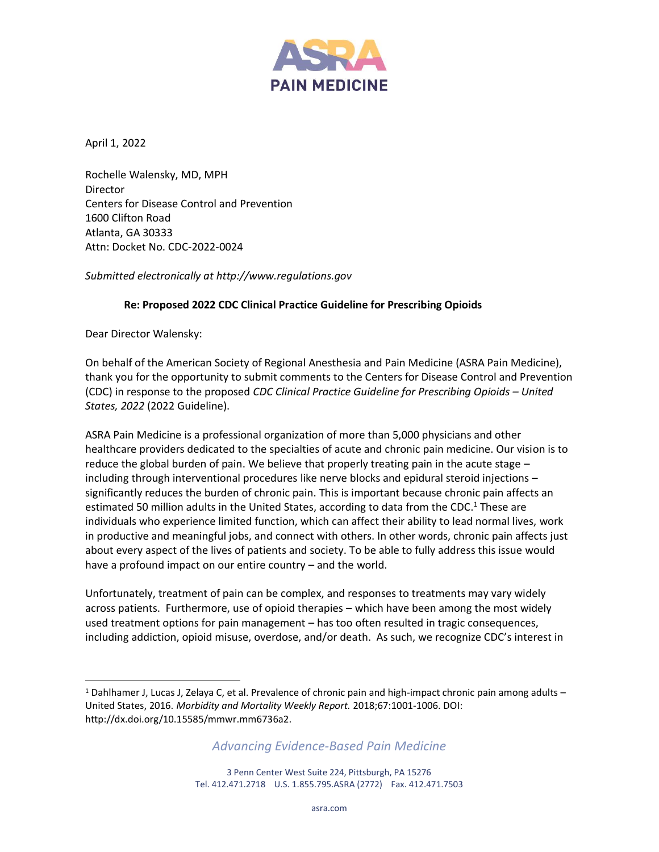

April 1, 2022

Rochelle Walensky, MD, MPH Director Centers for Disease Control and Prevention 1600 Clifton Road Atlanta, GA 30333 Attn: Docket No. CDC-2022-0024

*Submitted electronically at http://www.regulations.gov*

#### **Re: Proposed 2022 CDC Clinical Practice Guideline for Prescribing Opioids**

Dear Director Walensky:

On behalf of the American Society of Regional Anesthesia and Pain Medicine (ASRA Pain Medicine), thank you for the opportunity to submit comments to the Centers for Disease Control and Prevention (CDC) in response to the proposed *CDC Clinical Practice Guideline for Prescribing Opioids – United States, 2022* (2022 Guideline).

ASRA Pain Medicine is a professional organization of more than 5,000 physicians and other healthcare providers dedicated to the specialties of acute and chronic pain medicine. Our vision is to reduce the global burden of pain. We believe that properly treating pain in the acute stage – including through interventional procedures like nerve blocks and epidural steroid injections – significantly reduces the burden of chronic pain. This is important because chronic pain affects an estimated 50 million adults in the United States, according to data from the CDC.<sup>1</sup> These are individuals who experience limited function, which can affect their ability to lead normal lives, work in productive and meaningful jobs, and connect with others. In other words, chronic pain affects just about every aspect of the lives of patients and society. To be able to fully address this issue would have a profound impact on our entire country – and the world.

Unfortunately, treatment of pain can be complex, and responses to treatments may vary widely across patients. Furthermore, use of opioid therapies – which have been among the most widely used treatment options for pain management – has too often resulted in tragic consequences, including addiction, opioid misuse, overdose, and/or death. As such, we recognize CDC's interest in

*Advancing Evidence-Based Pain Medicine*

<sup>1</sup> Dahlhamer J, Lucas J, Zelaya C, et al. Prevalence of chronic pain and high-impact chronic pain among adults – United States, 2016. *Morbidity and Mortality Weekly Report.* 2018;67:1001-1006. DOI: [http://dx.doi.org/10.15585/mmwr.mm6736a2.](http://dx.doi.org/10.15585/mmwr.mm6736a2)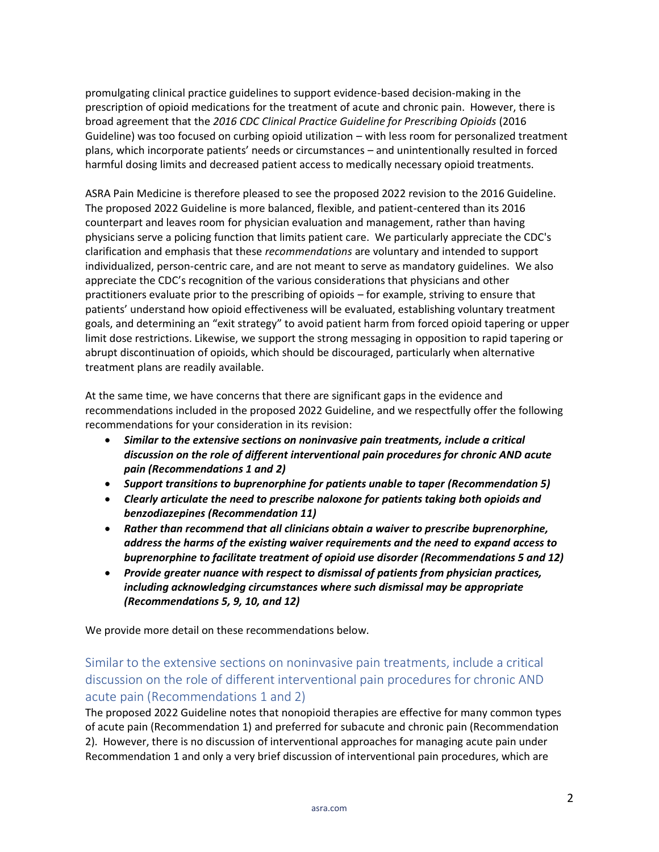promulgating clinical practice guidelines to support evidence-based decision-making in the prescription of opioid medications for the treatment of acute and chronic pain. However, there is broad agreement that the *2016 CDC Clinical Practice Guideline for Prescribing Opioids* (2016 Guideline) was too focused on curbing opioid utilization – with less room for personalized treatment plans, which incorporate patients' needs or circumstances – and unintentionally resulted in forced harmful dosing limits and decreased patient access to medically necessary opioid treatments.

ASRA Pain Medicine is therefore pleased to see the proposed 2022 revision to the 2016 Guideline. The proposed 2022 Guideline is more balanced, flexible, and patient-centered than its 2016 counterpart and leaves room for physician evaluation and management, rather than having physicians serve a policing function that limits patient care. We particularly appreciate the CDC's clarification and emphasis that these *recommendations* are voluntary and intended to support individualized, person-centric care, and are not meant to serve as mandatory guidelines. We also appreciate the CDC's recognition of the various considerations that physicians and other practitioners evaluate prior to the prescribing of opioids – for example, striving to ensure that patients' understand how opioid effectiveness will be evaluated, establishing voluntary treatment goals, and determining an "exit strategy" to avoid patient harm from forced opioid tapering or upper limit dose restrictions. Likewise, we support the strong messaging in opposition to rapid tapering or abrupt discontinuation of opioids, which should be discouraged, particularly when alternative treatment plans are readily available.

At the same time, we have concerns that there are significant gaps in the evidence and recommendations included in the proposed 2022 Guideline, and we respectfully offer the following recommendations for your consideration in its revision:

- *Similar to the extensive sections on noninvasive pain treatments, include a critical discussion on the role of different interventional pain procedures for chronic AND acute pain (Recommendations 1 and 2)*
- *Support transitions to buprenorphine for patients unable to taper (Recommendation 5)*
- *Clearly articulate the need to prescribe naloxone for patients taking both opioids and benzodiazepines (Recommendation 11)*
- *Rather than recommend that all clinicians obtain a waiver to prescribe buprenorphine, address the harms of the existing waiver requirements and the need to expand access to buprenorphine to facilitate treatment of opioid use disorder (Recommendations 5 and 12)*
- *Provide greater nuance with respect to dismissal of patients from physician practices, including acknowledging circumstances where such dismissal may be appropriate (Recommendations 5, 9, 10, and 12)*

We provide more detail on these recommendations below.

## Similar to the extensive sections on noninvasive pain treatments, include a critical discussion on the role of different interventional pain procedures for chronic AND acute pain (Recommendations 1 and 2)

The proposed 2022 Guideline notes that nonopioid therapies are effective for many common types of acute pain (Recommendation 1) and preferred for subacute and chronic pain (Recommendation 2). However, there is no discussion of interventional approaches for managing acute pain under Recommendation 1 and only a very brief discussion of interventional pain procedures, which are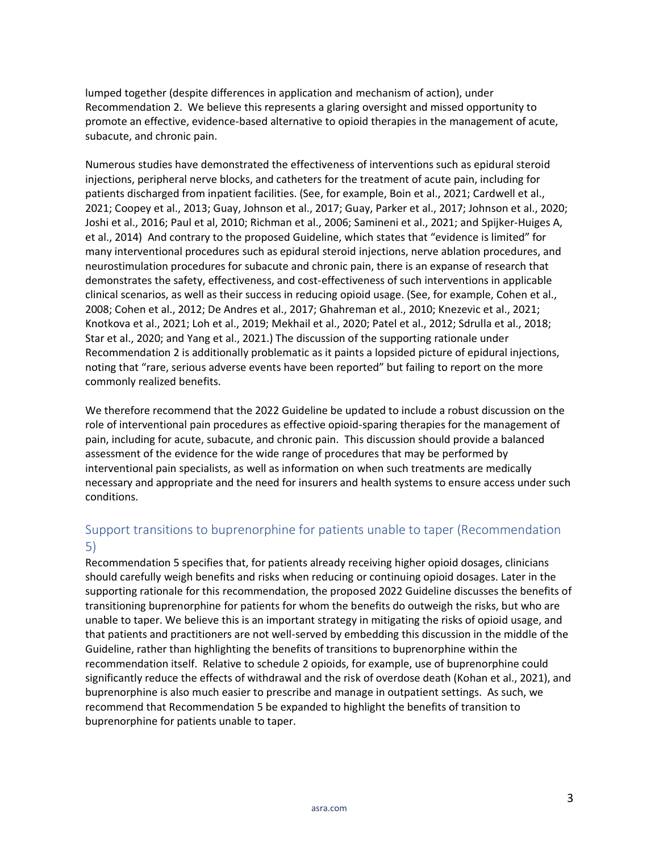lumped together (despite differences in application and mechanism of action), under Recommendation 2. We believe this represents a glaring oversight and missed opportunity to promote an effective, evidence-based alternative to opioid therapies in the management of acute, subacute, and chronic pain.

Numerous studies have demonstrated the effectiveness of interventions such as epidural steroid injections, peripheral nerve blocks, and catheters for the treatment of acute pain, including for patients discharged from inpatient facilities. (See, for example, Boin et al., 2021; Cardwell et al., 2021; Coopey et al., 2013; Guay, Johnson et al., 2017; Guay, Parker et al., 2017; Johnson et al., 2020; Joshi et al., 2016; Paul et al, 2010; Richman et al., 2006; Samineni et al., 2021; and Spijker-Huiges A, et al., 2014) And contrary to the proposed Guideline, which states that "evidence is limited" for many interventional procedures such as epidural steroid injections, nerve ablation procedures, and neurostimulation procedures for subacute and chronic pain, there is an expanse of research that demonstrates the safety, effectiveness, and cost-effectiveness of such interventions in applicable clinical scenarios, as well as their success in reducing opioid usage. (See, for example, Cohen et al., 2008; Cohen et al., 2012; De Andres et al., 2017; Ghahreman et al., 2010; Knezevic et al., 2021; Knotkova et al., 2021; Loh et al., 2019; Mekhail et al., 2020; Patel et al., 2012; Sdrulla et al., 2018; Star et al., 2020; and Yang et al., 2021.) The discussion of the supporting rationale under Recommendation 2 is additionally problematic as it paints a lopsided picture of epidural injections, noting that "rare, serious adverse events have been reported" but failing to report on the more commonly realized benefits.

We therefore recommend that the 2022 Guideline be updated to include a robust discussion on the role of interventional pain procedures as effective opioid-sparing therapies for the management of pain, including for acute, subacute, and chronic pain. This discussion should provide a balanced assessment of the evidence for the wide range of procedures that may be performed by interventional pain specialists, as well as information on when such treatments are medically necessary and appropriate and the need for insurers and health systems to ensure access under such conditions.

#### Support transitions to buprenorphine for patients unable to taper (Recommendation 5)

Recommendation 5 specifies that, for patients already receiving higher opioid dosages, clinicians should carefully weigh benefits and risks when reducing or continuing opioid dosages. Later in the supporting rationale for this recommendation, the proposed 2022 Guideline discusses the benefits of transitioning buprenorphine for patients for whom the benefits do outweigh the risks, but who are unable to taper. We believe this is an important strategy in mitigating the risks of opioid usage, and that patients and practitioners are not well-served by embedding this discussion in the middle of the Guideline, rather than highlighting the benefits of transitions to buprenorphine within the recommendation itself. Relative to schedule 2 opioids, for example, use of buprenorphine could significantly reduce the effects of withdrawal and the risk of overdose death (Kohan et al., 2021), and buprenorphine is also much easier to prescribe and manage in outpatient settings. As such, we recommend that Recommendation 5 be expanded to highlight the benefits of transition to buprenorphine for patients unable to taper.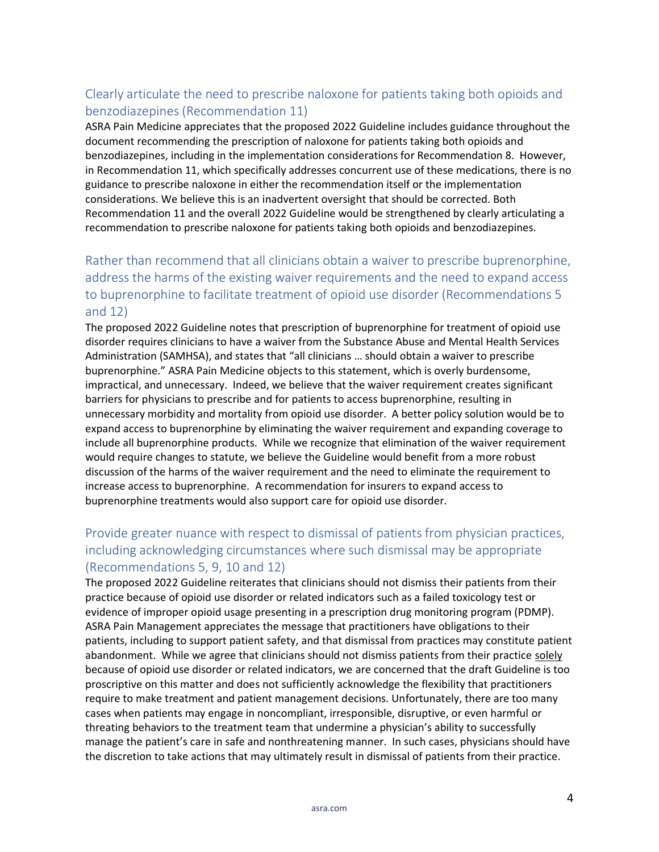# Clearly articulate the need to prescribe naloxone for patients taking both opioids and benzodiazepines (Recommendation 11)

ASRA Pain Medicine appreciates that the proposed 2022 Guideline includes guidance throughout the document recommending the prescription of naloxone for patients taking both opioids and benzodiazepines, including in the implementation considerations for Recommendation 8. However, in Recommendation 11, which specifically addresses concurrent use of these medications, there is no guidance to prescribe naloxone in either the recommendation itself or the implementation considerations. We believe this is an inadvertent oversight that should be corrected. Both Recommendation 11 and the overall 2022 Guideline would be strengthened by clearly articulating a recommendation to prescribe naloxone for patients taking both opioids and benzodiazepines.

# Rather than recommend that all clinicians obtain a waiver to prescribe buprenorphine, address the harms of the existing waiver requirements and the need to expand access to buprenorphine to facilitate treatment of opioid use disorder (Recommendations 5 and 12)

The proposed 2022 Guideline notes that prescription of buprenorphine for treatment of opioid use disorder requires clinicians to have a waiver from the Substance Abuse and Mental Health Services Administration (SAMHSA), and states that "all clinicians … should obtain a waiver to prescribe buprenorphine." ASRA Pain Medicine objects to this statement, which is overly burdensome, impractical, and unnecessary. Indeed, we believe that the waiver requirement creates significant barriers for physicians to prescribe and for patients to access buprenorphine, resulting in unnecessary morbidity and mortality from opioid use disorder. A better policy solution would be to expand access to buprenorphine by eliminating the waiver requirement and expanding coverage to include all buprenorphine products. While we recognize that elimination of the waiver requirement would require changes to statute, we believe the Guideline would benefit from a more robust discussion of the harms of the waiver requirement and the need to eliminate the requirement to increase access to buprenorphine. A recommendation for insurers to expand access to buprenorphine treatments would also support care for opioid use disorder.

# Provide greater nuance with respect to dismissal of patients from physician practices, including acknowledging circumstances where such dismissal may be appropriate (Recommendations 5, 9, 10 and 12)

The proposed 2022 Guideline reiterates that clinicians should not dismiss their patients from their practice because of opioid use disorder or related indicators such as a failed toxicology test or evidence of improper opioid usage presenting in a prescription drug monitoring program (PDMP). ASRA Pain Management appreciates the message that practitioners have obligations to their patients, including to support patient safety, and that dismissal from practices may constitute patient abandonment. While we agree that clinicians should not dismiss patients from their practice solely because of opioid use disorder or related indicators, we are concerned that the draft Guideline is too proscriptive on this matter and does not sufficiently acknowledge the flexibility that practitioners require to make treatment and patient management decisions. Unfortunately, there are too many cases when patients may engage in noncompliant, irresponsible, disruptive, or even harmful or threating behaviors to the treatment team that undermine a physician's ability to successfully manage the patient's care in safe and nonthreatening manner. In such cases, physicians should have the discretion to take actions that may ultimately result in dismissal of patients from their practice.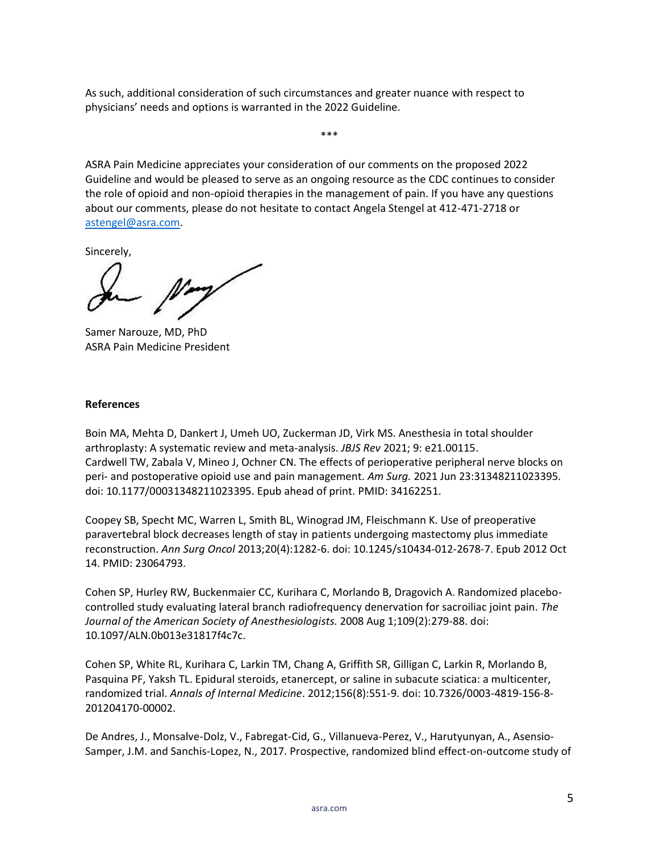As such, additional consideration of such circumstances and greater nuance with respect to physicians' needs and options is warranted in the 2022 Guideline.

ASRA Pain Medicine appreciates your consideration of our comments on the proposed 2022 Guideline and would be pleased to serve as an ongoing resource as the CDC continues to consider the role of opioid and non-opioid therapies in the management of pain. If you have any questions about our comments, please do not hesitate to contact Angela Stengel at 412-471-2718 or [astengel@asra.com.](mailto:astengel@asra.com)

\*\*\*

Sincerely,

Samer Narouze, MD, PhD ASRA Pain Medicine President

#### **References**

Boin MA, Mehta D, Dankert J, Umeh UO, Zuckerman JD, Virk MS. Anesthesia in total shoulder arthroplasty: A systematic review and meta-analysis. *JBJS Rev* 2021; 9: e21.00115. Cardwell TW, Zabala V, Mineo J, Ochner CN. The effects of perioperative peripheral nerve blocks on peri- and postoperative opioid use and pain management. *Am Surg.* 2021 Jun 23:31348211023395. doi: 10.1177/00031348211023395. Epub ahead of print. PMID: 34162251.

Coopey SB, Specht MC, Warren L, Smith BL, Winograd JM, Fleischmann K. Use of preoperative paravertebral block decreases length of stay in patients undergoing mastectomy plus immediate reconstruction. *Ann Surg Oncol* 2013;20(4):1282-6. doi: 10.1245/s10434-012-2678-7. Epub 2012 Oct 14. PMID: 23064793.

Cohen SP, Hurley RW, Buckenmaier CC, Kurihara C, Morlando B, Dragovich A. Randomized placebocontrolled study evaluating lateral branch radiofrequency denervation for sacroiliac joint pain. *The Journal of the American Society of Anesthesiologists.* 2008 Aug 1;109(2):279-88. doi: 10.1097/ALN.0b013e31817f4c7c.

Cohen SP, White RL, Kurihara C, Larkin TM, Chang A, Griffith SR, Gilligan C, Larkin R, Morlando B, Pasquina PF, Yaksh TL. Epidural steroids, etanercept, or saline in subacute sciatica: a multicenter, randomized trial. *Annals of Internal Medicine*. 2012;156(8):551-9. doi: 10.7326/0003-4819-156-8- 201204170-00002.

De Andres, J., Monsalve-Dolz, V., Fabregat-Cid, G., Villanueva-Perez, V., Harutyunyan, A., Asensio-Samper, J.M. and Sanchis-Lopez, N., 2017. Prospective, randomized blind effect-on-outcome study of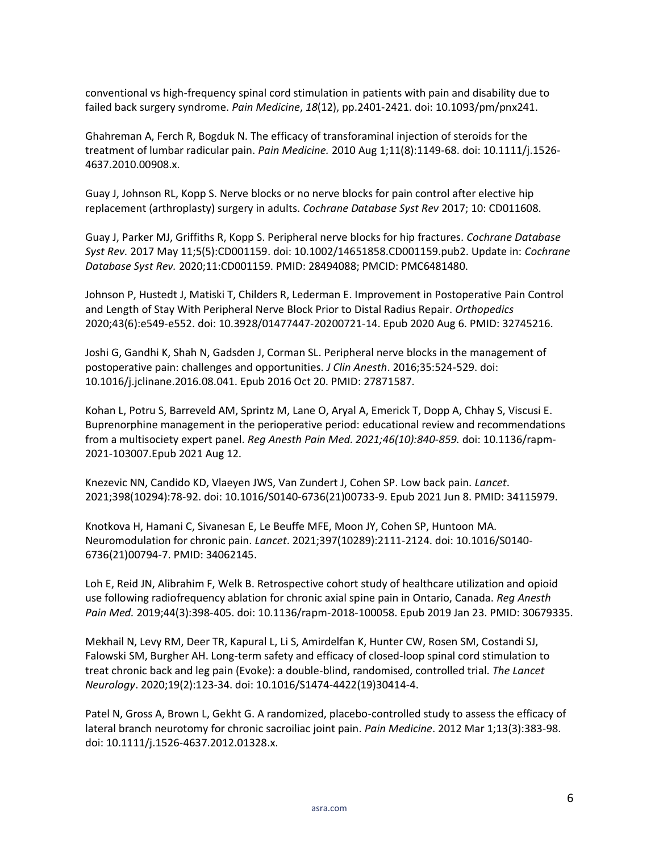conventional vs high-frequency spinal cord stimulation in patients with pain and disability due to failed back surgery syndrome. *Pain Medicine*, *18*(12), pp.2401-2421. doi: 10.1093/pm/pnx241.

Ghahreman A, Ferch R, Bogduk N. The efficacy of transforaminal injection of steroids for the treatment of lumbar radicular pain. *Pain Medicine.* 2010 Aug 1;11(8):1149-68. doi: 10.1111/j.1526- 4637.2010.00908.x.

Guay J, Johnson RL, Kopp S. Nerve blocks or no nerve blocks for pain control after elective hip replacement (arthroplasty) surgery in adults. *Cochrane Database Syst Rev* 2017; 10: CD011608.

Guay J, Parker MJ, Griffiths R, Kopp S. Peripheral nerve blocks for hip fractures. *Cochrane Database Syst Rev.* 2017 May 11;5(5):CD001159. doi: 10.1002/14651858.CD001159.pub2. Update in: *Cochrane Database Syst Rev.* 2020;11:CD001159. PMID: 28494088; PMCID: PMC6481480.

Johnson P, Hustedt J, Matiski T, Childers R, Lederman E. Improvement in Postoperative Pain Control and Length of Stay With Peripheral Nerve Block Prior to Distal Radius Repair. *Orthopedics* 2020;43(6):e549-e552. doi: 10.3928/01477447-20200721-14. Epub 2020 Aug 6. PMID: 32745216.

Joshi G, Gandhi K, Shah N, Gadsden J, Corman SL. Peripheral nerve blocks in the management of postoperative pain: challenges and opportunities. *J Clin Anesth*. 2016;35:524-529. doi: 10.1016/j.jclinane.2016.08.041. Epub 2016 Oct 20. PMID: 27871587.

Kohan L, Potru S, Barreveld AM, Sprintz M, Lane O, Aryal A, Emerick T, Dopp A, Chhay S, Viscusi E. Buprenorphine management in the perioperative period: educational review and recommendations from a multisociety expert panel. *Reg Anesth Pain Med. 2021;46(10):840-859.* doi: 10.1136/rapm-2021-103007.Epub 2021 Aug 12.

Knezevic NN, Candido KD, Vlaeyen JWS, Van Zundert J, Cohen SP. Low back pain. *Lancet*. 2021;398(10294):78-92. doi: 10.1016/S0140-6736(21)00733-9. Epub 2021 Jun 8. PMID: 34115979.

Knotkova H, Hamani C, Sivanesan E, Le Beuffe MFE, Moon JY, Cohen SP, Huntoon MA. Neuromodulation for chronic pain. *Lancet*. 2021;397(10289):2111-2124. doi: 10.1016/S0140- 6736(21)00794-7. PMID: 34062145.

Loh E, Reid JN, Alibrahim F, Welk B. Retrospective cohort study of healthcare utilization and opioid use following radiofrequency ablation for chronic axial spine pain in Ontario, Canada. *Reg Anesth Pain Med.* 2019;44(3):398-405. doi: 10.1136/rapm-2018-100058. Epub 2019 Jan 23. PMID: 30679335.

Mekhail N, Levy RM, Deer TR, Kapural L, Li S, Amirdelfan K, Hunter CW, Rosen SM, Costandi SJ, Falowski SM, Burgher AH. Long-term safety and efficacy of closed-loop spinal cord stimulation to treat chronic back and leg pain (Evoke): a double-blind, randomised, controlled trial. *The Lancet Neurology*. 2020;19(2):123-34. doi: 10.1016/S1474-4422(19)30414-4.

Patel N, Gross A, Brown L, Gekht G. A randomized, placebo-controlled study to assess the efficacy of lateral branch neurotomy for chronic sacroiliac joint pain. *Pain Medicine*. 2012 Mar 1;13(3):383-98. doi: 10.1111/j.1526-4637.2012.01328.x.